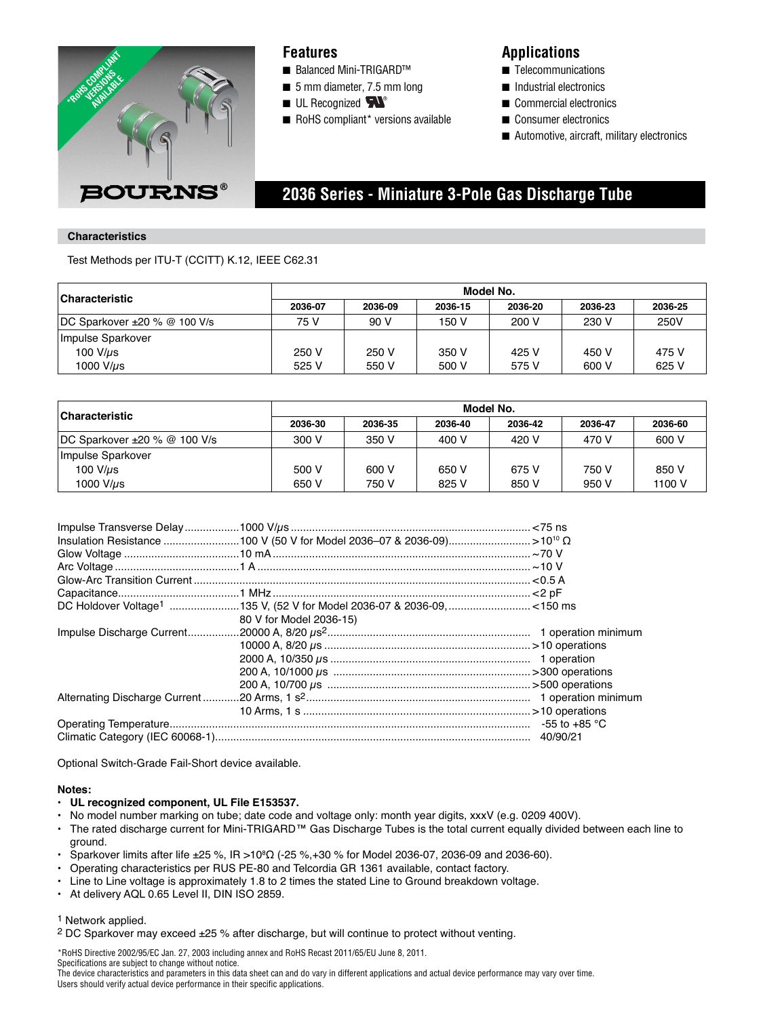

### **Features**

- Balanced Mini-TRIGARD™
- 5 mm diameter, 7.5 mm long
- $\blacksquare$  UL Recognized  $\blacktriangleright\!\!\!\triangleleft$
- RoHS compliant\* versions available

### **Applications**

- Telecommunications
- Industrial electronics
- Commercial electronics
- Consumer electronics
- Automotive, aircraft, military electronics

## **2036 Series - Miniature 3-Pole Gas Discharge Tube**

### **Characteristics**

Test Methods per ITU-T (CCITT) K.12, IEEE C62.31

| <b>Characteristic</b>        | Model No. |         |         |         |         |         |
|------------------------------|-----------|---------|---------|---------|---------|---------|
|                              | 2036-07   | 2036-09 | 2036-15 | 2036-20 | 2036-23 | 2036-25 |
| DC Sparkover ±20 % @ 100 V/s | 75 V      | 90 V    | 150 V   | 200 V   | 230 V   | 250V    |
| Impulse Sparkover            |           |         |         |         |         |         |
| 100 $V/\mu s$                | 250 V     | 250 V   | 350 V   | 425 V   | 450 V   | 475 V   |
| 1000 V/ $\mu$ s              | 525 V     | 550 V   | 500 V   | 575 V   | 600 V   | 625 V   |

| <b>Characteristic</b>               | Model No. |         |         |         |         |         |
|-------------------------------------|-----------|---------|---------|---------|---------|---------|
|                                     | 2036-30   | 2036-35 | 2036-40 | 2036-42 | 2036-47 | 2036-60 |
| $DC$ Sparkover $\pm 20$ % @ 100 V/s | 300 V     | 350 V   | 400 V   | 420 V   | 470 V   | 600 V   |
| Impulse Sparkover                   |           |         |         |         |         |         |
| $100$ V/ $\mu$ s                    | 500 V     | 600 V   | 650 V   | 675 V   | 750 V   | 850 V   |
| 1000 V/us                           | 650 V     | 750 V   | 825 V   | 850 V   | 950 V   | 1100 V  |

| 80 V for Model 2036-15) |  |
|-------------------------|--|
|                         |  |
|                         |  |
|                         |  |
|                         |  |
|                         |  |
|                         |  |
|                         |  |
|                         |  |
|                         |  |

Optional Switch-Grade Fail-Short device available.

### **Notes:**

- **UL recognized component, UL File E153537.**
- No model number marking on tube; date code and voltage only: month year digits, xxxV (e.g. 0209 400V).
- The rated discharge current for Mini-TRIGARD™ Gas Discharge Tubes is the total current equally divided between each line to ground.
- Sparkover limits after life ±25 %, IR >10<sup>8</sup>Ω (-25 %,+30 % for Model 2036-07, 2036-09 and 2036-60).
- Operating characteristics per RUS PE-80 and Telcordia GR 1361 available, contact factory.
- Line to Line voltage is approximately 1.8 to 2 times the stated Line to Ground breakdown voltage.
- At delivery AQL 0.65 Level II, DIN ISO 2859.

#### 1 Network applied.

2 DC Sparkover may exceed ±25 % after discharge, but will continue to protect without venting.

\*RoHS Directive 2002/95/EC Jan. 27, 2003 including annex and RoHS Recast 2011/65/EU June 8, 2011. Specifications are subject to change without notice.

The device characteristics and parameters in this data sheet can and do vary in different applications and actual device performance may vary over time. Users should verify actual device performance in their specific applications.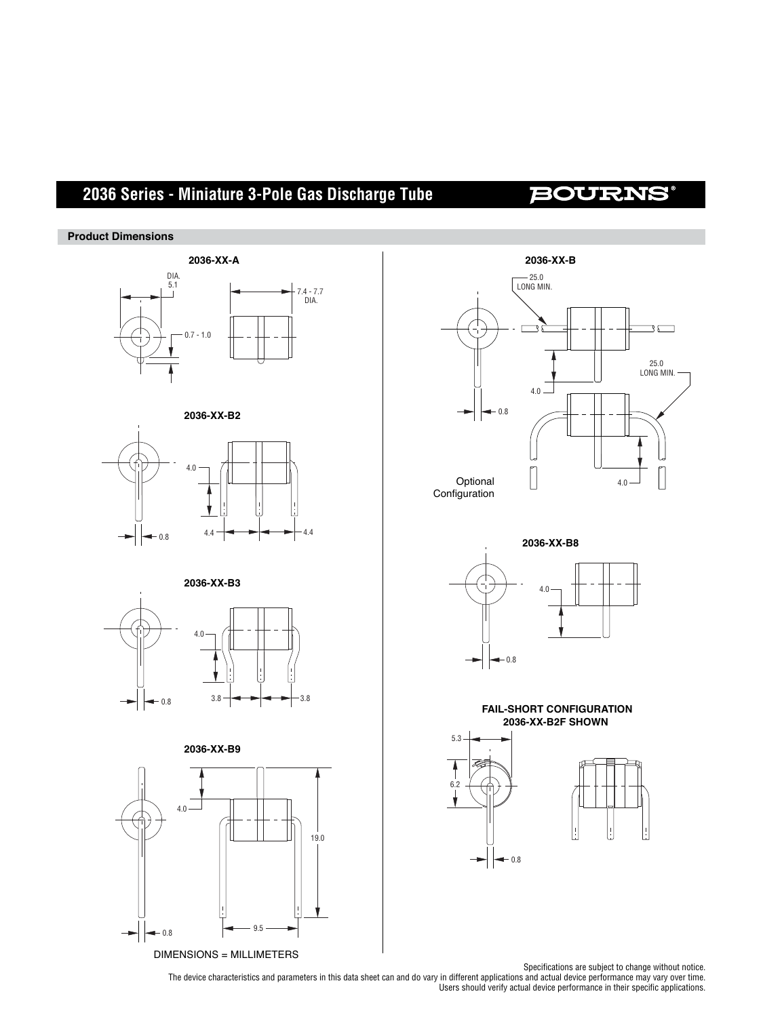# **2036 Series - Miniature 3-Pole Gas Discharge Tube**

## **BOURNS®**

### **Product Dimensions**







#### **2036-XX-B3**











**2036-XX-B8**







Specifications are subject to change without notice.

The device characteristics and parameters in this data sheet can and do vary in different applications and actual device performance may vary over time. Users should verify actual device performance in their specific applications.